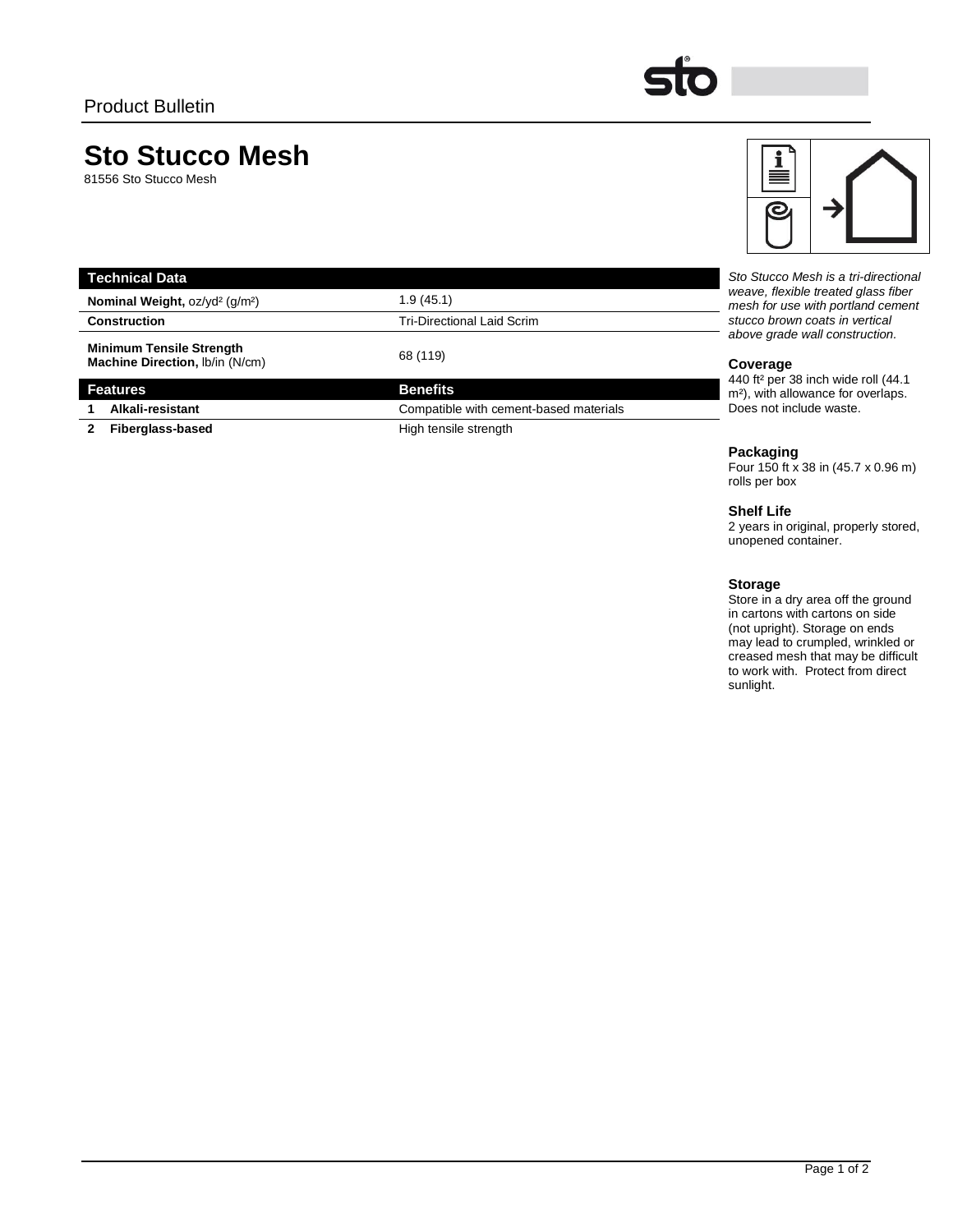# **Sto Stucco Mesh**

81556 Sto Stucco Mesh

| <b>Technical Data</b>                                              |                                        | Sto Stucco Mesh is a tri-directional                                                                                                                                                                                                                                                      |
|--------------------------------------------------------------------|----------------------------------------|-------------------------------------------------------------------------------------------------------------------------------------------------------------------------------------------------------------------------------------------------------------------------------------------|
| Nominal Weight, oz/yd <sup>2</sup> (g/m <sup>2</sup> )             | 1.9 (45.1)                             | weave, flexible treated glass fiber<br>mesh for use with portland cement<br>stucco brown coats in vertical<br>above grade wall construction.<br>Coverage<br>440 ft <sup>2</sup> per 38 inch wide roll (44.1)<br>m <sup>2</sup> ), with allowance for overlaps.<br>Does not include waste. |
| <b>Construction</b>                                                | Tri-Directional Laid Scrim             |                                                                                                                                                                                                                                                                                           |
| <b>Minimum Tensile Strength</b><br>Machine Direction, Ib/in (N/cm) | 68 (119)                               |                                                                                                                                                                                                                                                                                           |
| <b>Features</b>                                                    | <b>Benefits</b>                        |                                                                                                                                                                                                                                                                                           |
| Alkali-resistant                                                   | Compatible with cement-based materials |                                                                                                                                                                                                                                                                                           |

**2 Fiberglass-based High tensile strength** 

## **Packaging**

Four 150 ft x 38 in (45.7 x 0.96 m) rolls per box

## **Shelf Life**

2 years in original, properly stored, unopened container.

## **Storage**

Store in a dry area off the ground in cartons with cartons on side (not upright). Storage on ends may lead to crumpled, wrinkled or creased mesh that may be difficult to work with. Protect from direct sunlight.